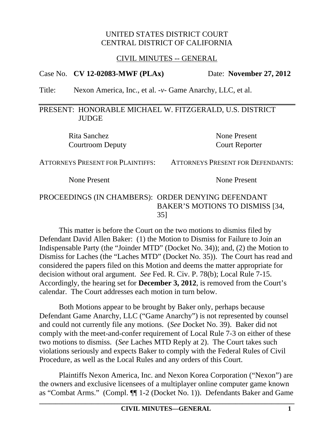## CIVIL MINUTES -- GENERAL

# Case No. **CV 12-02083-MWF (PLAx)** Date: **November 27, 2012**

Title: Nexon America, Inc., et al. -*v*- Game Anarchy, LLC, et al.

## PRESENT: HONORABLE MICHAEL W. FITZGERALD, U.S. DISTRICT **JUDGE**

Rita Sanchez None Present Courtroom Deputy Court Reporter

ATTORNEYS PRESENT FOR PLAINTIFFS: ATTORNEYS PRESENT FOR DEFENDANTS:

None Present None Present

## PROCEEDINGS (IN CHAMBERS): ORDER DENYING DEFENDANT BAKER'S MOTIONS TO DISMISS [34, 35]

This matter is before the Court on the two motions to dismiss filed by Defendant David Allen Baker: (1) the Motion to Dismiss for Failure to Join an Indispensable Party (the "Joinder MTD" (Docket No. 34)); and, (2) the Motion to Dismiss for Laches (the "Laches MTD" (Docket No. 35)). The Court has read and considered the papers filed on this Motion and deems the matter appropriate for decision without oral argument. *See* Fed. R. Civ. P. 78(b); Local Rule 7-15. Accordingly, the hearing set for **December 3, 2012**, is removed from the Court's calendar. The Court addresses each motion in turn below.

Both Motions appear to be brought by Baker only, perhaps because Defendant Game Anarchy, LLC ("Game Anarchy") is not represented by counsel and could not currently file any motions. (*See* Docket No. 39). Baker did not comply with the meet-and-confer requirement of Local Rule 7-3 on either of these two motions to dismiss. (*See* Laches MTD Reply at 2). The Court takes such violations seriously and expects Baker to comply with the Federal Rules of Civil Procedure, as well as the Local Rules and any orders of this Court.

Plaintiffs Nexon America, Inc. and Nexon Korea Corporation ("Nexon") are the owners and exclusive licensees of a multiplayer online computer game known as "Combat Arms." (Compl. ¶¶ 1-2 (Docket No. 1)). Defendants Baker and Game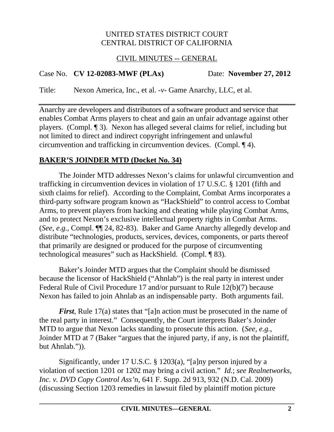# CIVIL MINUTES -- GENERAL

# Case No. **CV 12-02083-MWF (PLAx)** Date: **November 27, 2012**

Title: Nexon America, Inc., et al. -*v*- Game Anarchy, LLC, et al.

Anarchy are developers and distributors of a software product and service that enables Combat Arms players to cheat and gain an unfair advantage against other players. (Compl. ¶ 3). Nexon has alleged several claims for relief, including but not limited to direct and indirect copyright infringement and unlawful circumvention and trafficking in circumvention devices. (Compl. ¶ 4).

# **BAKER'S JOINDER MTD (Docket No. 34)**

The Joinder MTD addresses Nexon's claims for unlawful circumvention and trafficking in circumvention devices in violation of 17 U.S.C. § 1201 (fifth and sixth claims for relief). According to the Complaint, Combat Arms incorporates a third-party software program known as "HackShield" to control access to Combat Arms, to prevent players from hacking and cheating while playing Combat Arms, and to protect Nexon's exclusive intellectual property rights in Combat Arms. (*See, e.g.*, Compl. ¶¶ 24, 82-83). Baker and Game Anarchy allegedly develop and distribute "technologies, products, services, devices, components, or parts thereof that primarily are designed or produced for the purpose of circumventing technological measures" such as HackShield. (Compl. ¶ 83).

Baker's Joinder MTD argues that the Complaint should be dismissed because the licensor of HackShield ("Ahnlab") is the real party in interest under Federal Rule of Civil Procedure 17 and/or pursuant to Rule 12(b)(7) because Nexon has failed to join Ahnlab as an indispensable party. Both arguments fail.

*First*, Rule 17(a) states that "[a]n action must be prosecuted in the name of the real party in interest." Consequently, the Court interprets Baker's Joinder MTD to argue that Nexon lacks standing to prosecute this action. (*See, e.g.*, Joinder MTD at 7 (Baker "argues that the injured party, if any, is not the plaintiff, but Ahnlab.")).

Significantly, under 17 U.S.C. § 1203(a), "[a]ny person injured by a violation of section 1201 or 1202 may bring a civil action." *Id.*; *see Realnetworks, Inc. v. DVD Copy Control Ass'n*, 641 F. Supp. 2d 913, 932 (N.D. Cal. 2009) (discussing Section 1203 remedies in lawsuit filed by plaintiff motion picture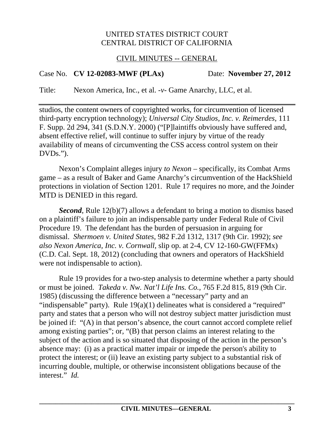## CIVIL MINUTES -- GENERAL

# Case No. **CV 12-02083-MWF (PLAx)** Date: **November 27, 2012**

Title: Nexon America, Inc., et al. -*v*- Game Anarchy, LLC, et al.

studios, the content owners of copyrighted works, for circumvention of licensed third-party encryption technology); *Universal City Studios, Inc. v. Reimerdes*, 111 F. Supp. 2d 294, 341 (S.D.N.Y. 2000) ("[P]laintiffs obviously have suffered and, absent effective relief, will continue to suffer injury by virtue of the ready availability of means of circumventing the CSS access control system on their DVDs.").

Nexon's Complaint alleges injury *to Nexon* – specifically, its Combat Arms game – as a result of Baker and Game Anarchy's circumvention of the HackShield protections in violation of Section 1201. Rule 17 requires no more, and the Joinder MTD is DENIED in this regard.

*Second*, Rule 12(b)(7) allows a defendant to bring a motion to dismiss based on a plaintiff's failure to join an indispensable party under Federal Rule of Civil Procedure 19. The defendant has the burden of persuasion in arguing for dismissal. *Shermoen v. United States*, 982 F.2d 1312, 1317 (9th Cir. 1992); *see also Nexon America, Inc. v. Cornwall*, slip op. at 2-4, CV 12-160-GW(FFMx) (C.D. Cal. Sept. 18, 2012) (concluding that owners and operators of HackShield were not indispensable to action).

Rule 19 provides for a two-step analysis to determine whether a party should or must be joined. *Takeda v. Nw. Nat'l Life Ins. Co.*, 765 F.2d 815, 819 (9th Cir. 1985) (discussing the difference between a "necessary" party and an "indispensable" party). Rule 19(a)(1) delineates what is considered a "required" party and states that a person who will not destroy subject matter jurisdiction must be joined if: "(A) in that person's absence, the court cannot accord complete relief among existing parties"; or, "(B) that person claims an interest relating to the subject of the action and is so situated that disposing of the action in the person's absence may: (i) as a practical matter impair or impede the person's ability to protect the interest; or (ii) leave an existing party subject to a substantial risk of incurring double, multiple, or otherwise inconsistent obligations because of the interest." *Id.*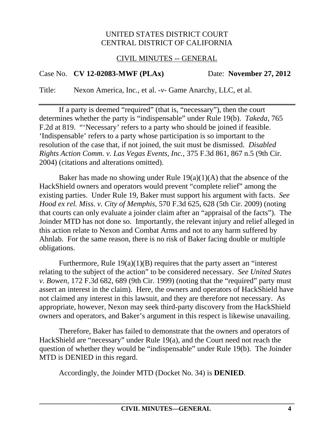## CIVIL MINUTES -- GENERAL

# Case No. **CV 12-02083-MWF (PLAx)** Date: **November 27, 2012**

Title: Nexon America, Inc., et al. -*v*- Game Anarchy, LLC, et al.

If a party is deemed "required" (that is, "necessary"), then the court determines whether the party is "indispensable" under Rule 19(b). *Takeda*, 765 F.2d at 819. "'Necessary' refers to a party who should be joined if feasible. 'Indispensable' refers to a party whose participation is so important to the resolution of the case that, if not joined, the suit must be dismissed. *Disabled Rights Action Comm. v. Las Vegas Events, Inc.*, 375 F.3d 861, 867 n.5 (9th Cir. 2004) (citations and alterations omitted).

Baker has made no showing under Rule  $19(a)(1)(A)$  that the absence of the HackShield owners and operators would prevent "complete relief" among the existing parties. Under Rule 19, Baker must support his argument with facts. *See Hood ex rel. Miss. v. City of Memphis*, 570 F.3d 625, 628 (5th Cir. 2009) (noting that courts can only evaluate a joinder claim after an "appraisal of the facts"). The Joinder MTD has not done so. Importantly, the relevant injury and relief alleged in this action relate to Nexon and Combat Arms and not to any harm suffered by Ahnlab. For the same reason, there is no risk of Baker facing double or multiple obligations.

Furthermore, Rule  $19(a)(1)(B)$  requires that the party assert an "interest" relating to the subject of the action" to be considered necessary. *See United States v. Bowen*, 172 F.3d 682, 689 (9th Cir. 1999) (noting that the "required" party must assert an interest in the claim). Here, the owners and operators of HackShield have not claimed any interest in this lawsuit, and they are therefore not necessary. As appropriate, however, Nexon may seek third-party discovery from the HackShield owners and operators, and Baker's argument in this respect is likewise unavailing.

Therefore, Baker has failed to demonstrate that the owners and operators of HackShield are "necessary" under Rule 19(a), and the Court need not reach the question of whether they would be "indispensable" under Rule 19(b). The Joinder MTD is DENIED in this regard.

Accordingly, the Joinder MTD (Docket No. 34) is **DENIED**.